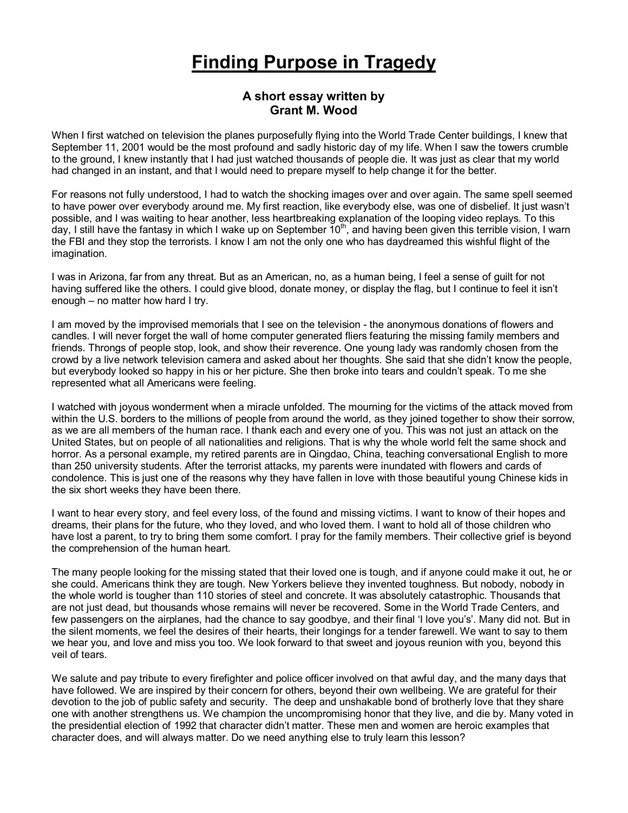## **Finding Purpose in Tragedy**

## **A short essay written by Grant M. Wood**

When I first watched on television the planes purposefully flying into the World Trade Center buildings, I knew that September 11, 2001 would be the most profound and sadly historic day of my life. When I saw the towers crumble to the ground, I knew instantly that I had just watched thousands of people die. It was just as clear that my world had changed in an instant, and that I would need to prepare myself to help change it for the better.

For reasons not fully understood, I had to watch the shocking images over and over again. The same spell seemed to have power over everybody around me. My first reaction, like everybody else, was one of disbelief. It just wasn't possible, and I was waiting to hear another, less heartbreaking explanation of the looping video replays. To this day, I still have the fantasy in which I wake up on September  $10<sup>th</sup>$ , and having been given this terrible vision, I warn the FBI and they stop the terrorists. I know I am not the only one who has daydreamed this wishful flight of the imagination.

I was in Arizona, far from any threat. But as an American, no, as a human being, I feel a sense of guilt for not having suffered like the others. I could give blood, donate money, or display the flag, but I continue to feel it isn't enough – no matter how hard I try.

I am moved by the improvised memorials that I see on the television - the anonymous donations of flowers and candles. I will never forget the wall of home computer generated fliers featuring the missing family members and friends. Throngs of people stop, look, and show their reverence. One young lady was randomly chosen from the crowd by a live network television camera and asked about her thoughts. She said that she didn't know the people, but everybody looked so happy in his or her picture. She then broke into tears and couldn't speak. To me she represented what all Americans were feeling.

I watched with joyous wonderment when a miracle unfolded. The mourning for the victims of the attack moved from within the U.S. borders to the millions of people from around the world, as they joined together to show their sorrow, as we are all members of the human race. I thank each and every one of you. This was not just an attack on the United States, but on people of all nationalities and religions. That is why the whole world felt the same shock and horror. As a personal example, my retired parents are in Qingdao, China, teaching conversational English to more than 250 university students. After the terrorist attacks, my parents were inundated with flowers and cards of condolence. This is just one of the reasons why they have fallen in love with those beautiful young Chinese kids in the six short weeks they have been there.

I want to hear every story, and feel every loss, of the found and missing victims. I want to know of their hopes and dreams, their plans for the future, who they loved, and who loved them. I want to hold all of those children who have lost a parent, to try to bring them some comfort. I pray for the family members. Their collective grief is beyond the comprehension of the human heart.

The many people looking for the missing stated that their loved one is tough, and if anyone could make it out, he or she could. Americans think they are tough. New Yorkers believe they invented toughness. But nobody, nobody in the whole world is tougher than 110 stories of steel and concrete. It was absolutely catastrophic. Thousands that are not just dead, but thousands whose remains will never be recovered. Some in the World Trade Centers, and few passengers on the airplanes, had the chance to say goodbye, and their final 'I love you's'. Many did not. But in the silent moments, we feel the desires of their hearts, their longings for a tender farewell. We want to say to them we hear you, and love and miss you too. We look forward to that sweet and joyous reunion with you, beyond this veil of tears.

We salute and pay tribute to every firefighter and police officer involved on that awful day, and the many days that have followed. We are inspired by their concern for others, beyond their own wellbeing. We are grateful for their devotion to the job of public safety and security. The deep and unshakable bond of brotherly love that they share one with another strengthens us. We champion the uncompromising honor that they live, and die by. Many voted in the presidential election of 1992 that character didn't matter. These men and women are heroic examples that character does, and will always matter. Do we need anything else to truly learn this lesson?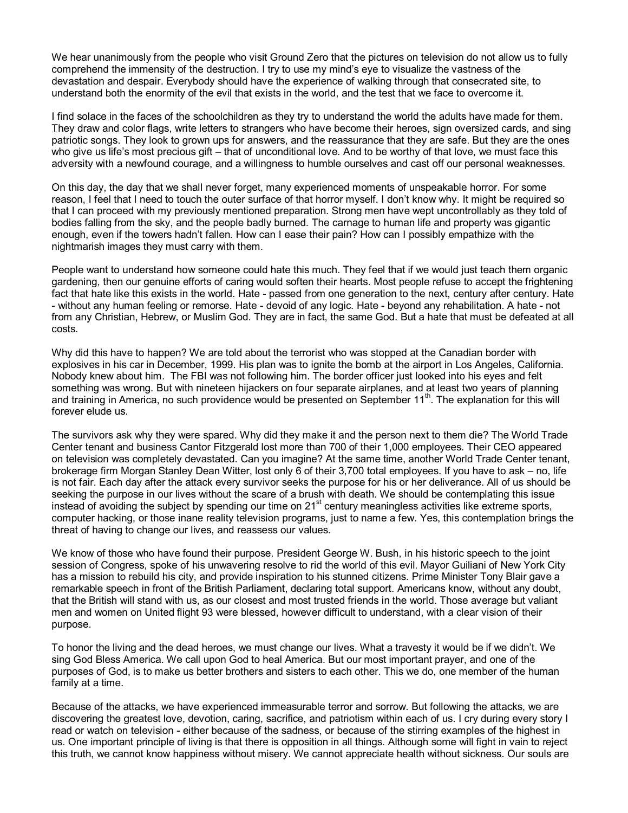We hear unanimously from the people who visit Ground Zero that the pictures on television do not allow us to fully comprehend the immensity of the destruction. I try to use my mind's eye to visualize the vastness of the devastation and despair. Everybody should have the experience of walking through that consecrated site, to understand both the enormity of the evil that exists in the world, and the test that we face to overcome it.

I find solace in the faces of the schoolchildren as they try to understand the world the adults have made for them. They draw and color flags, write letters to strangers who have become their heroes, sign oversized cards, and sing patriotic songs. They look to grown ups for answers, and the reassurance that they are safe. But they are the ones who give us life's most precious gift – that of unconditional love. And to be worthy of that love, we must face this adversity with a newfound courage, and a willingness to humble ourselves and cast off our personal weaknesses.

On this day, the day that we shall never forget, many experienced moments of unspeakable horror. For some reason, I feel that I need to touch the outer surface of that horror myself. I don't know why. It might be required so that I can proceed with my previously mentioned preparation. Strong men have wept uncontrollably as they told of bodies falling from the sky, and the people badly burned. The carnage to human life and property was gigantic enough, even if the towers hadn't fallen. How can I ease their pain? How can I possibly empathize with the nightmarish images they must carry with them.

People want to understand how someone could hate this much. They feel that if we would just teach them organic gardening, then our genuine efforts of caring would soften their hearts. Most people refuse to accept the frightening fact that hate like this exists in the world. Hate - passed from one generation to the next, century after century. Hate - without any human feeling or remorse. Hate - devoid of any logic. Hate - beyond any rehabilitation. A hate - not from any Christian, Hebrew, or Muslim God. They are in fact, the same God. But a hate that must be defeated at all costs.

Why did this have to happen? We are told about the terrorist who was stopped at the Canadian border with explosives in his car in December, 1999. His plan was to ignite the bomb at the airport in Los Angeles, California. Nobody knew about him. The FBI was not following him. The border officer just looked into his eyes and felt something was wrong. But with nineteen hijackers on four separate airplanes, and at least two years of planning and training in America, no such providence would be presented on September 11<sup>th</sup>. The explanation for this will forever elude us.

The survivors ask why they were spared. Why did they make it and the person next to them die? The World Trade Center tenant and business Cantor Fitzgerald lost more than 700 of their 1,000 employees. Their CEO appeared on television was completely devastated. Can you imagine? At the same time, another World Trade Center tenant, brokerage firm Morgan Stanley Dean Witter, lost only 6 of their 3,700 total employees. If you have to ask – no, life is not fair. Each day after the attack every survivor seeks the purpose for his or her deliverance. All of us should be seeking the purpose in our lives without the scare of a brush with death. We should be contemplating this issue instead of avoiding the subject by spending our time on  $21^{st}$  century meaningless activities like extreme sports, computer hacking, or those inane reality television programs, just to name a few. Yes, this contemplation brings the threat of having to change our lives, and reassess our values.

We know of those who have found their purpose. President George W. Bush, in his historic speech to the joint session of Congress, spoke of his unwavering resolve to rid the world of this evil. Mayor Guiliani of New York City has a mission to rebuild his city, and provide inspiration to his stunned citizens. Prime Minister Tony Blair gave a remarkable speech in front of the British Parliament, declaring total support. Americans know, without any doubt, that the British will stand with us, as our closest and most trusted friends in the world. Those average but valiant men and women on United flight 93 were blessed, however difficult to understand, with a clear vision of their purpose.

To honor the living and the dead heroes, we must change our lives. What a travesty it would be if we didn't. We sing God Bless America. We call upon God to heal America. But our most important prayer, and one of the purposes of God, is to make us better brothers and sisters to each other. This we do, one member of the human family at a time.

Because of the attacks, we have experienced immeasurable terror and sorrow. But following the attacks, we are discovering the greatest love, devotion, caring, sacrifice, and patriotism within each of us. I cry during every story I read or watch on television - either because of the sadness, or because of the stirring examples of the highest in us. One important principle of living is that there is opposition in all things. Although some will fight in vain to reject this truth, we cannot know happiness without misery. We cannot appreciate health without sickness. Our souls are